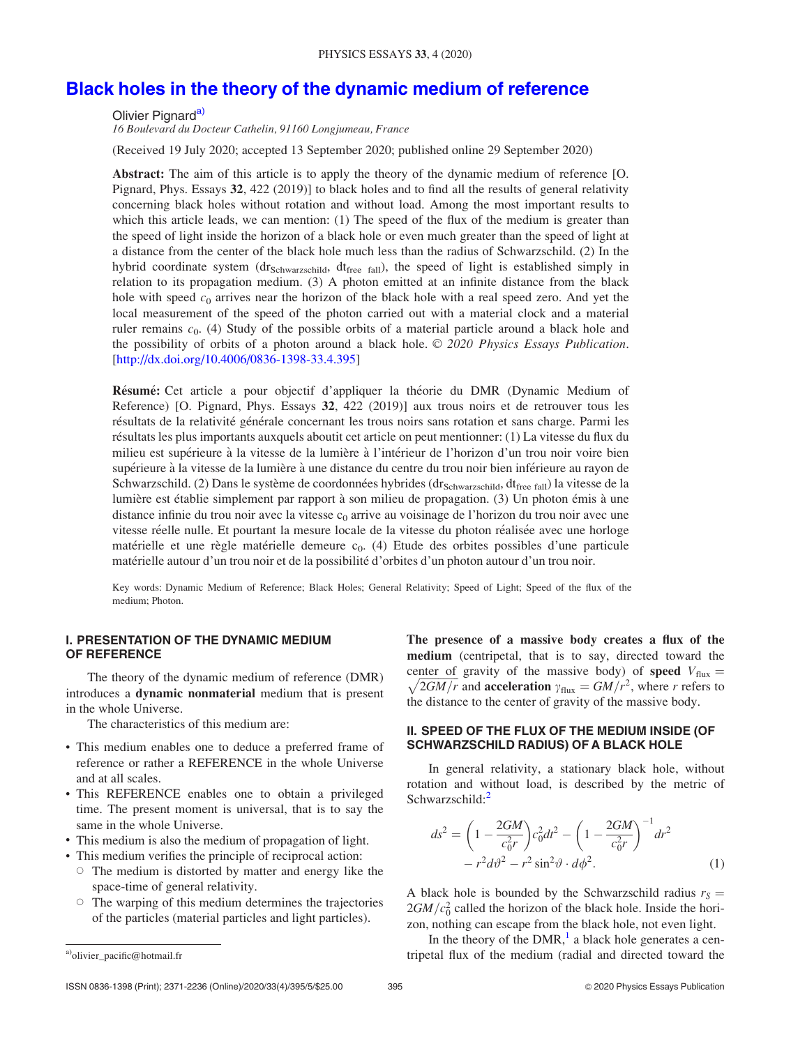# <span id="page-0-0"></span>[Black holes in the theory of the dynamic medium of reference](http://dx.doi.org/10.4006/0836-1398-33.4.395)

Olivier Pignard<sup>a)</sup>

16 Boulevard du Docteur Cathelin, 91160 Longjumeau, France

(Received 19 July 2020; accepted 13 September 2020; published online 29 September 2020)

Abstract: The aim of this article is to apply the theory of the dynamic medium of reference [O. Pignard, Phys. Essays 32, 422 (2019)] to black holes and to find all the results of general relativity concerning black holes without rotation and without load. Among the most important results to which this article leads, we can mention: (1) The speed of the flux of the medium is greater than the speed of light inside the horizon of a black hole or even much greater than the speed of light at a distance from the center of the black hole much less than the radius of Schwarzschild. (2) In the hybrid coordinate system (dr<sub>Schwarzschild</sub>, dt<sub>free fall</sub>), the speed of light is established simply in relation to its propagation medium. (3) A photon emitted at an infinite distance from the black hole with speed  $c_0$  arrives near the horizon of the black hole with a real speed zero. And yet the local measurement of the speed of the photon carried out with a material clock and a material ruler remains  $c_0$ . (4) Study of the possible orbits of a material particle around a black hole and the possibility of orbits of a photon around a black hole.  $\odot$  2020 Physics Essays Publication. [http://dx.doi.org/10.4006/0836-1398-33.4.395]

Résumé: Cet article a pour objectif d'appliquer la théorie du DMR (Dynamic Medium of Reference) [O. Pignard, Phys. Essays 32, 422 (2019)] aux trous noirs et de retrouver tous les résultats de la relativité générale concernant les trous noirs sans rotation et sans charge. Parmi les résultats les plus importants auxquels aboutit cet article on peut mentionner: (1) La vitesse du flux du milieu est supérieure à la vitesse de la lumière à l'intérieur de l'horizon d'un trou noir voire bien supérieure à la vitesse de la lumière à une distance du centre du trou noir bien inférieure au rayon de Schwarzschild. (2) Dans le système de coordonnées hybrides (dr<sub>Schwarzschild</sub>, dt<sub>free fall</sub>) la vitesse de la lumière est établie simplement par rapport à son milieu de propagation. (3) Un photon émis à une distance infinie du trou noir avec la vitesse  $c_0$  arrive au voisinage de l'horizon du trou noir avec une vitesse réelle nulle. Et pourtant la mesure locale de la vitesse du photon réalisée avec une horloge matérielle et une règle matérielle demeure c<sub>0</sub>. (4) Etude des orbites possibles d'une particule matérielle autour d'un trou noir et de la possibilité d'orbites d'un photon autour d'un trou noir.

Key words: Dynamic Medium of Reference; Black Holes; General Relativity; Speed of Light; Speed of the flux of the medium; Photon.

#### I. PRESENTATION OF THE DYNAMIC MEDIUM OF REFERENCE

The theory of the dynamic medium of reference (DMR) introduces a dynamic nonmaterial medium that is present in the whole Universe.

The characteristics of this medium are:

- This medium enables one to deduce a preferred frame of reference or rather a REFERENCE in the whole Universe and at all scales.
- This REFERENCE enables one to obtain a privileged time. The present moment is universal, that is to say the same in the whole Universe.
- This medium is also the medium of propagation of light.
- This medium verifies the principle of reciprocal action:
	- The medium is distorted by matter and energy like the space-time of general relativity.
	- The warping of this medium determines the trajectories of the particles (material particles and light particles).

The presence of a massive body creates a flux of the medium (centripetal, that is to say, directed toward the center of gravity of the massive body) of **speed**  $V_{\text{flux}} =$  $\sqrt{2GM/r}$  and **acceleration**  $\gamma_{\text{flux}} = GM/r^2$ , where r refers to the distance to the center of gravity of the massive body.

# II. SPEED OF THE FLUX OF THE MEDIUM INSIDE (OF SCHWARZSCHILD RADIUS) OF A BLACK HOLE

In general relativity, a stationary black hole, without rotation and without load, is described by the metric of Schwarzschild:<sup>[2](#page-4-0)</sup>

$$
ds^{2} = \left(1 - \frac{2GM}{c_{0}^{2}r}\right) c_{0}^{2} dt^{2} - \left(1 - \frac{2GM}{c_{0}^{2}r}\right)^{-1} dr^{2}
$$

$$
- r^{2} d\vartheta^{2} - r^{2} \sin^{2} \vartheta \cdot d\varphi^{2}. \tag{1}
$$

A black hole is bounded by the Schwarzschild radius  $r_s$  =  $2GM/c_0^2$  called the horizon of the black hole. Inside the horizon, nothing can escape from the black hole, not even light.

In the theory of the  $DMR$ ,<sup>1</sup> a black hole generates a cen-<sup>a)</sup>olivier pacific@hotmail.fr **tripetal flux of the medium (radial and directed toward the** a)<sup>ol</sup>ivier pacific@hotmail.fr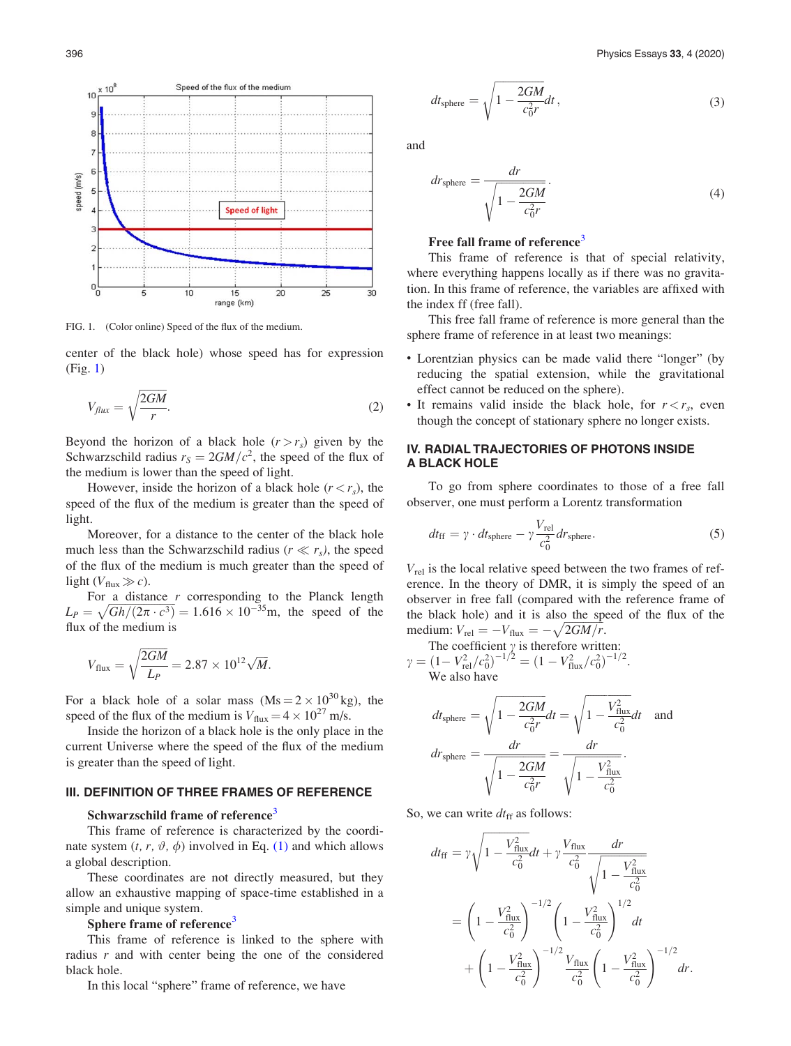Speed of the flux of the medium  $\times 10^5$  $10$ g 8  $\overline{7}$ speed (m/s)  $\epsilon$ **Speed of light** 2  $\frac{1}{10}$  $10$  $\overline{20}$  $\overline{25}$ 30 5  $15$ range (km)

FIG. 1. (Color online) Speed of the flux of the medium.

center of the black hole) whose speed has for expression (Fig. 1)

$$
V_{flux} = \sqrt{\frac{2GM}{r}}.\tag{2}
$$

Beyond the horizon of a black hole  $(r > r_s)$  given by the Schwarzschild radius  $r_S = 2GM/c^2$ , the speed of the flux of the medium is lower than the speed of light.

However, inside the horizon of a black hole  $(r < r<sub>s</sub>)$ , the speed of the flux of the medium is greater than the speed of light.

Moreover, for a distance to the center of the black hole much less than the Schwarzschild radius ( $r \ll r_s$ ), the speed of the flux of the medium is much greater than the speed of light  $(V_{\text{flux}} \gg c)$ .

For a distance  $r$  corresponding to the Planck length  $L_P = \sqrt{Gh/(2\pi \cdot c^3)} = 1.616 \times 10^{-35}$  m, the speed of the flux of the medium is

$$
V_{\text{flux}} = \sqrt{\frac{2GM}{L_P}} = 2.87 \times 10^{12} \sqrt{M}.
$$

For a black hole of a solar mass  $(Ms = 2 \times 10^{30} \text{ kg})$ , the speed of the flux of the medium is  $V_{\text{flux}} = 4 \times 10^{27}$  m/s.

Inside the horizon of a black hole is the only place in the current Universe where the speed of the flux of the medium is greater than the speed of light.

# III. DEFINITION OF THREE FRAMES OF REFERENCE

#### Schwarzschild frame of reference<sup>[3](#page-4-0)</sup>

This frame of reference is characterized by the coordinate system  $(t, r, \vartheta, \varphi)$  involved in Eq. [\(1\)](#page-0-0) and which allows a global description.

These coordinates are not directly measured, but they allow an exhaustive mapping of space-time established in a simple and unique system.

#### Sphere frame of reference<sup>[3](#page-4-0)</sup>

This frame of reference is linked to the sphere with radius  $r$  and with center being the one of the considered black hole.

In this local "sphere" frame of reference, we have

$$
dt_{\text{sphere}} = \sqrt{1 - \frac{2GM}{c_0^2 r}} dt, \qquad (3)
$$

and

$$
dr_{\text{sphere}} = \frac{dr}{\sqrt{1 - \frac{2GM}{c_0^2 r}}}.
$$
\n(4)

#### Free fall frame of reference<sup>[3](#page-4-0)</sup>

This frame of reference is that of special relativity, where everything happens locally as if there was no gravitation. In this frame of reference, the variables are affixed with the index ff (free fall).

This free fall frame of reference is more general than the sphere frame of reference in at least two meanings:

- Lorentzian physics can be made valid there "longer" (by reducing the spatial extension, while the gravitational effect cannot be reduced on the sphere).
- It remains valid inside the black hole, for  $r < r_s$ , even though the concept of stationary sphere no longer exists.

## IV. RADIAL TRAJECTORIES OF PHOTONS INSIDE A BLACK HOLE

To go from sphere coordinates to those of a free fall observer, one must perform a Lorentz transformation

$$
dt_{\rm ff} = \gamma \cdot dt_{\rm sphere} - \gamma \frac{V_{\rm rel}}{c_0^2} dr_{\rm sphere}.
$$
 (5)

 $V_{rel}$  is the local relative speed between the two frames of reference. In the theory of DMR, it is simply the speed of an observer in free fall (compared with the reference frame of the black hole) and it is also the speed of the flux of the medium:  $V_{\text{rel}} = -V_{\text{flux}} = -\sqrt{2GM/r}$ .

The coefficient  $\gamma$  is therefore written:  $\gamma = (1 - V_{\text{rel}}^2/c_0^2)^{-1/2} = (1 - V_{\text{flux}}^2/c_0^2)^{-1/2}.$ We also have

$$
dt_{\text{sphere}} = \sqrt{1 - \frac{2GM}{c_0^2 r}} dt = \sqrt{1 - \frac{V_{\text{flux}}^2}{c_0^2}} dt \quad \text{and}
$$

$$
dr_{\text{sphere}} = \frac{dr}{\sqrt{1 - \frac{2GM}{c_0^2 r}}} = \frac{dr}{\sqrt{1 - \frac{V_{\text{flux}}^2}{c_0^2}}}.
$$

So, we can write  $dt_{\text{ff}}$  as follows:

$$
dt_{\rm ff} = \gamma \sqrt{1 - \frac{V_{\rm flux}^2}{c_0^2}} dt + \gamma \frac{V_{\rm flux}}{c_0^2} \frac{dr}{\sqrt{1 - \frac{V_{\rm flux}^2}{c_0^2}}}
$$
  
=  $\left(1 - \frac{V_{\rm flux}^2}{c_0^2}\right)^{-1/2} \left(1 - \frac{V_{\rm flux}^2}{c_0^2}\right)^{1/2} dt$   
+  $\left(1 - \frac{V_{\rm flux}^2}{c_0^2}\right)^{-1/2} \frac{V_{\rm flux}}{c_0^2} \left(1 - \frac{V_{\rm flux}^2}{c_0^2}\right)^{-1/2} dr.$ 

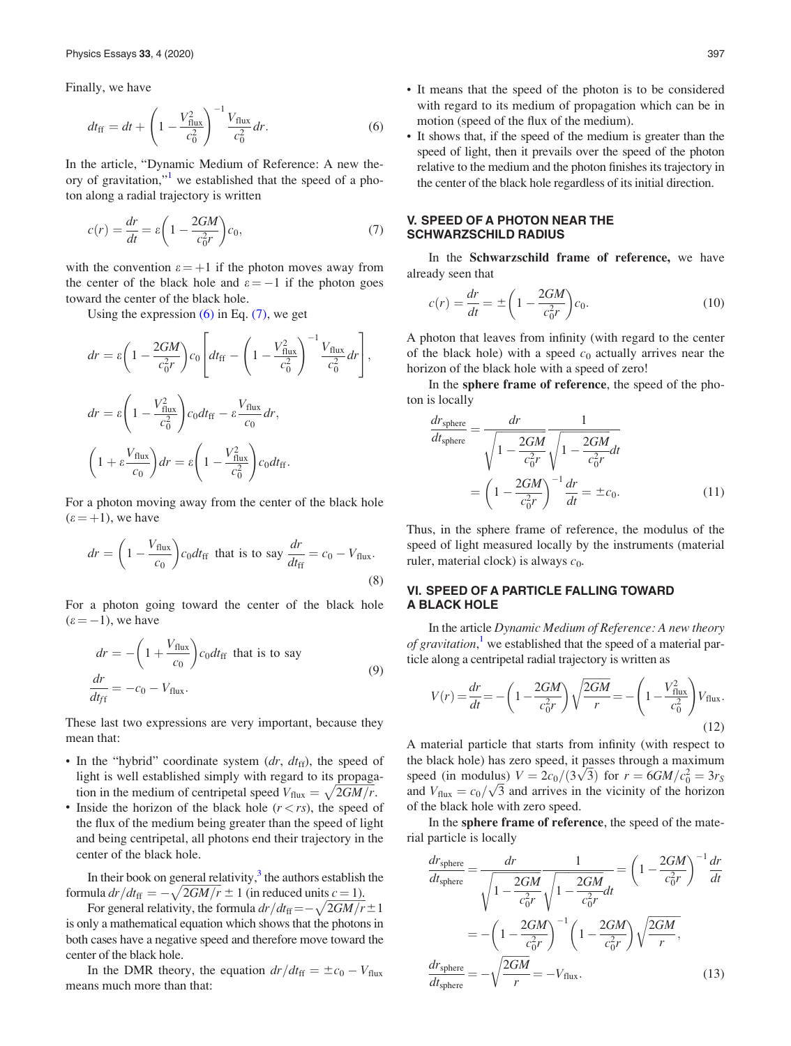Finally, we have

$$
dt_{\rm ff} = dt + \left(1 - \frac{V_{\rm flux}^2}{c_0^2}\right)^{-1} \frac{V_{\rm flux}}{c_0^2} dr.
$$
 (6)

In the article, "Dynamic Medium of Reference: A new theory of gravitation,"[1](#page-4-0) we established that the speed of a photon along a radial trajectory is written

$$
c(r) = \frac{dr}{dt} = \varepsilon \left( 1 - \frac{2GM}{c_0^2 r} \right) c_0,\tag{7}
$$

with the convention  $\varepsilon = +1$  if the photon moves away from the center of the black hole and  $\varepsilon = -1$  if the photon goes toward the center of the black hole.

Using the expression  $(6)$  in Eq.  $(7)$ , we get

$$
dr = \varepsilon \left( 1 - \frac{2GM}{c_0^2 r} \right) c_0 \left[ dt_{\rm ff} - \left( 1 - \frac{V_{\rm flux}^2}{c_0^2} \right)^{-1} \frac{V_{\rm flux}}{c_0^2} dr \right],
$$
  

$$
dr = \varepsilon \left( 1 - \frac{V_{\rm flux}^2}{c_0^2} \right) c_0 dt_{\rm ff} - \varepsilon \frac{V_{\rm flux}}{c_0} dr,
$$
  

$$
\left( 1 + \varepsilon \frac{V_{\rm flux}}{c_0} \right) dr = \varepsilon \left( 1 - \frac{V_{\rm flux}^2}{c_0^2} \right) c_0 dt_{\rm ff}.
$$

For a photon moving away from the center of the black hole  $(\epsilon = +1)$ , we have

$$
dr = \left(1 - \frac{V_{\text{flux}}}{c_0}\right) c_0 dt_{\text{ff}} \text{ that is to say } \frac{dr}{dt_{\text{ff}}} = c_0 - V_{\text{flux}}.
$$
\n(8)

For a photon going toward the center of the black hole  $(\epsilon = -1)$ , we have

$$
dr = -\left(1 + \frac{V_{\text{flux}}}{c_0}\right)c_0dt_{\text{ff}} \text{ that is to say}
$$
  

$$
\frac{dr}{dt_{\text{ff}}} = -c_0 - V_{\text{flux}}.
$$
 (9)

These last two expressions are very important, because they mean that:

- In the "hybrid" coordinate system  $(dr, dt_{ff})$ , the speed of light is well established simply with regard to its propagation in the medium of centripetal speed  $V_{\text{flux}} = \sqrt{2GM/r}$ .
- Inside the horizon of the black hole  $(r < rs)$ , the speed of the flux of the medium being greater than the speed of light and being centripetal, all photons end their trajectory in the center of the black hole.

In their book on general relativity, $3$  the authors establish the formula  $dr/dt_{\rm ff} = -\sqrt{2GM/r} \pm 1$  (in reduced units  $c = 1$ ).

For general relativity, the formula  $dr/dt_{\text{ff}} = -\sqrt{2GM/r} \pm 1$ is only a mathematical equation which shows that the photons in both cases have a negative speed and therefore move toward the center of the black hole.

In the DMR theory, the equation  $dr/dt_{\rm ff} = \pm c_0 - V_{\rm flux}$ means much more than that:

- It means that the speed of the photon is to be considered with regard to its medium of propagation which can be in motion (speed of the flux of the medium).
- It shows that, if the speed of the medium is greater than the speed of light, then it prevails over the speed of the photon relative to the medium and the photon finishes its trajectory in the center of the black hole regardless of its initial direction.

# V. SPEED OF A PHOTON NEAR THE SCHWARZSCHILD RADIUS

In the Schwarzschild frame of reference, we have already seen that

$$
c(r) = \frac{dr}{dt} = \pm \left(1 - \frac{2GM}{c_0^2r}\right)c_0.
$$
 (10)

A photon that leaves from infinity (with regard to the center of the black hole) with a speed  $c_0$  actually arrives near the horizon of the black hole with a speed of zero!

In the sphere frame of reference, the speed of the photon is locally

$$
\frac{dr_{\text{sphere}}}{dt_{\text{sphere}}} = \frac{dr}{\sqrt{1 - \frac{2GM}{c_0^2 r}}} \frac{1}{\sqrt{1 - \frac{2GM}{c_0^2 r}}} dt
$$
\n
$$
= \left(1 - \frac{2GM}{c_0^2 r}\right)^{-1} \frac{dr}{dt} = \pm c_0.
$$
\n(11)

Thus, in the sphere frame of reference, the modulus of the speed of light measured locally by the instruments (material ruler, material clock) is always  $c_0$ .

# VI. SPEED OF A PARTICLE FALLING TOWARD A BLACK HOLE

In the article Dynamic Medium of Reference: A new theory of gravitation,<sup>[1](#page-4-0)</sup> we established that the speed of a material particle along a centripetal radial trajectory is written as

$$
V(r) = \frac{dr}{dt} = -\left(1 - \frac{2GM}{c_0^2r}\right)\sqrt{\frac{2GM}{r}} = -\left(1 - \frac{V_{\text{flux}}^2}{c_0^2}\right)V_{\text{flux}}.\tag{12}
$$

A material particle that starts from infinity (with respect to the black hole) has zero speed, it passes through a maximum the black hole) has zero speed, it passes through a maximum<br>speed (in modulus)  $V = 2c_0/(3\sqrt{3})$  for  $r = 6GM/c_0^2 = 3r_S$ speed (in modulus)  $v = 2c_0/(3\sqrt{5})$  for  $r = 6G/M/c_0^2 = 3r_S$ <br>and  $V_{\text{flux}} = c_0/\sqrt{3}$  and arrives in the vicinity of the horizon of the black hole with zero speed.

In the sphere frame of reference, the speed of the material particle is locally

$$
\frac{dr_{\text{sphere}}}{dt_{\text{sphere}}} = \frac{dr}{\sqrt{1 - \frac{2GM}{c_0^2 r}} \sqrt{1 - \frac{2GM}{c_0^2 r}}} = \left(1 - \frac{2GM}{c_0^2 r}\right)^{-1} \frac{dr}{dt}
$$
\n
$$
= -\left(1 - \frac{2GM}{c_0^2 r}\right)^{-1} \left(1 - \frac{2GM}{c_0^2 r}\right) \sqrt{\frac{2GM}{r}},
$$
\n
$$
\frac{dr_{\text{sphere}}}{dt_{\text{sphere}}} = -\sqrt{\frac{2GM}{r}} = -V_{\text{flux}}.
$$
\n(13)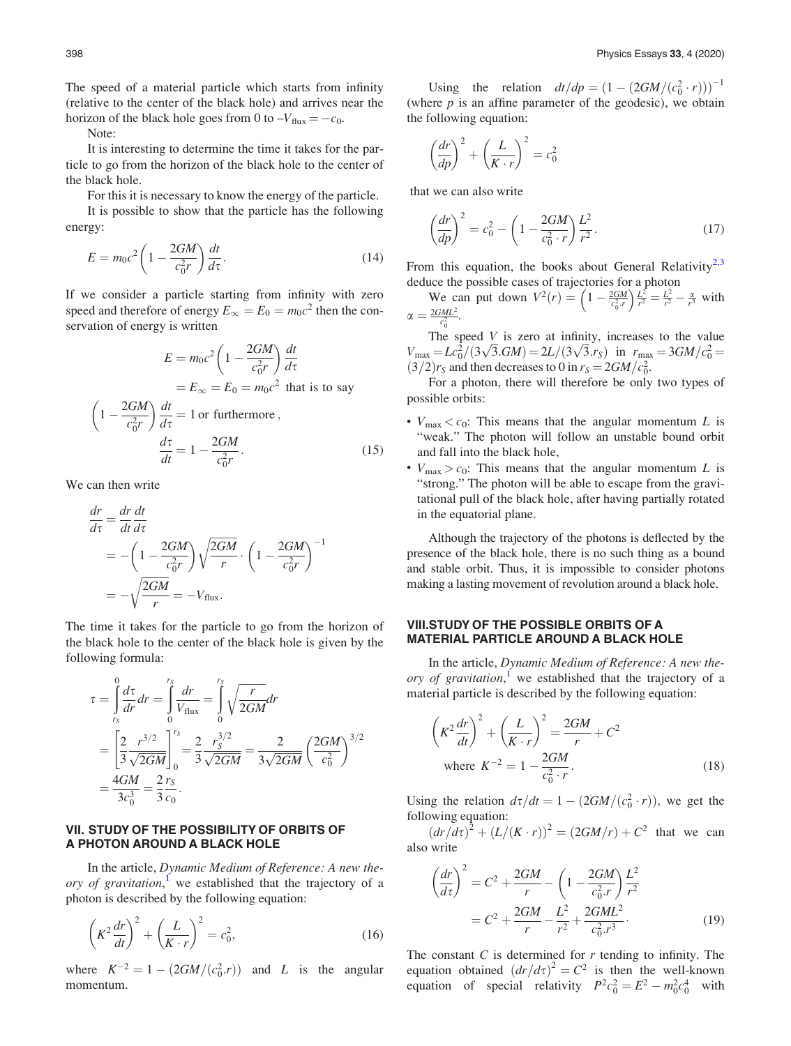<span id="page-3-0"></span>The speed of a material particle which starts from infinity (relative to the center of the black hole) and arrives near the horizon of the black hole goes from 0 to  $-V_{\text{flux}} = -c_0$ .

Note:

It is interesting to determine the time it takes for the particle to go from the horizon of the black hole to the center of the black hole.

For this it is necessary to know the energy of the particle. It is possible to show that the particle has the following energy:

$$
E = m_0 c^2 \left( 1 - \frac{2GM}{c_0^2 r} \right) \frac{dt}{d\tau}.
$$
\n(14)

If we consider a particle starting from infinity with zero speed and therefore of energy  $E_{\infty} = E_0 = m_0 c^2$  then the conservation of energy is written

$$
E = m_0 c^2 \left( 1 - \frac{2GM}{c_0^2 r} \right) \frac{dt}{d\tau}
$$
  
\n
$$
= E_{\infty} = E_0 = m_0 c^2 \text{ that is to say}
$$
  
\n
$$
\left( 1 - \frac{2GM}{c_0^2 r} \right) \frac{dt}{d\tau} = 1 \text{ or furthermore,}
$$
  
\n
$$
\frac{d\tau}{dt} = 1 - \frac{2GM}{c_0^2 r}.
$$
 (15)

We can then write

$$
\frac{dr}{d\tau} = \frac{dr}{dt}\frac{dt}{d\tau}
$$
\n
$$
= -\left(1 - \frac{2GM}{c_0^2r}\right)\sqrt{\frac{2GM}{r}} \cdot \left(1 - \frac{2GM}{c_0^2r}\right)^{-1}
$$
\n
$$
= -\sqrt{\frac{2GM}{r}} = -V_{\text{flux}}.
$$

The time it takes for the particle to go from the horizon of the black hole to the center of the black hole is given by the following formula:

$$
\tau = \int_{r_S}^{0} \frac{d\tau}{dr} dr = \int_{0}^{r_S} \frac{dr}{V_{\text{flux}}} = \int_{0}^{r_S} \sqrt{\frac{r}{2GM}} dr
$$
  
=  $\left[ \frac{2}{3} \frac{r^{3/2}}{\sqrt{2GM}} \right]_{0}^{r_S} = \frac{2}{3} \frac{r_S^{3/2}}{\sqrt{2GM}} = \frac{2}{3\sqrt{2GM}} \left( \frac{2GM}{c_0^2} \right)^{3/2}$   
=  $\frac{4GM}{3c_0^3} = \frac{2 r_S}{3 c_0}.$ 

## VII. STUDY OF THE POSSIBILITY OF ORBITS OF A PHOTON AROUND A BLACK HOLE

In the article, Dynamic Medium of Reference: A new the-ory of gravitation,<sup>[1](#page-4-0)</sup> we established that the trajectory of a photon is described by the following equation:

$$
\left(K^2 \frac{dr}{dt}\right)^2 + \left(\frac{L}{K \cdot r}\right)^2 = c_0^2,\tag{16}
$$

where  $K^{-2} = 1 - (2GM/(c_0^2 \cdot r))$  and L is the angular momentum.

Using the relation  $dt/dp = (1 - (2GM/(c_0^2 \cdot r)))^{-1}$ (where  $p$  is an affine parameter of the geodesic), we obtain the following equation:

$$
\left(\frac{dr}{dp}\right)^2 + \left(\frac{L}{K \cdot r}\right)^2 = c_0^2
$$

that we can also write

$$
\left(\frac{dr}{dp}\right)^2 = c_0^2 - \left(1 - \frac{2GM}{c_0^2 \cdot r}\right) \frac{L^2}{r^2}.
$$
\n(17)

From this equation, the books about General Relativity<sup>[2,3](#page-4-0)</sup> deduce the possible cases of trajectories for a photon<br>We can put down  $V^2(r) = \left(1 - \frac{2GM}{r}\right)\frac{L^2}{r^2} - \frac{L^2}{r^2}$ 

We can put down 
$$
V^2(r) = \left(1 - \frac{2GM}{c_0^2 r}\right) \frac{L^2}{r^2} = \frac{L^2}{r^2} - \frac{\alpha}{r^3}
$$
 with  $\alpha = \frac{2GML^2}{c_0^2}$ .

The speed  $V$  is zero at infinity, increases to the value The speed V is zero at minity, increases to the value<br>  $V_{\text{max}} = Lc_0^2/(3\sqrt{3}.GM) = 2L/(3\sqrt{3}.rs)$  in  $r_{\text{max}} = 3GM/c_0^2 =$  $(3/2)r_s$  and then decreases to 0 in  $r_s = 2GM/c_0^2$ .

For a photon, there will therefore be only two types of possible orbits:

- $V_{\text{max}} < c_0$ : This means that the angular momentum L is "weak." The photon will follow an unstable bound orbit and fall into the black hole,
- $V_{\text{max}} > c_0$ : This means that the angular momentum L is "strong." The photon will be able to escape from the gravitational pull of the black hole, after having partially rotated in the equatorial plane.

Although the trajectory of the photons is deflected by the presence of the black hole, there is no such thing as a bound and stable orbit. Thus, it is impossible to consider photons making a lasting movement of revolution around a black hole.

#### VIII.STUDY OF THE POSSIBLE ORBITS OF A MATERIAL PARTICLE AROUND A BLACK HOLE

In the article, Dynamic Medium of Reference: A new the-ory of gravitation,<sup>[1](#page-4-0)</sup> we established that the trajectory of a material particle is described by the following equation:

$$
\left(K^2 \frac{dr}{dt}\right)^2 + \left(\frac{L}{K \cdot r}\right)^2 = \frac{2GM}{r} + C^2
$$
  
where  $K^{-2} = 1 - \frac{2GM}{c_0^2 \cdot r}$ . (18)

Using the relation  $d\tau/dt = 1 - (2GM/(c_0^2 \cdot r))$ , we get the following equation:

 $dr/d\tau^{2} + (L/(K \cdot r))^{2} = (2GM/r) + C^{2}$  that we can also write

$$
\left(\frac{dr}{d\tau}\right)^2 = C^2 + \frac{2GM}{r} - \left(1 - \frac{2GM}{c_0^2 r}\right) \frac{L^2}{r^2}
$$

$$
= C^2 + \frac{2GM}{r} - \frac{L^2}{r^2} + \frac{2GML^2}{c_0^2 r^3}.
$$
(19)

The constant  $C$  is determined for  $r$  tending to infinity. The equation obtained  $\left(dr/d\tau\right)^{2} = C^{2}$  is then the well-known equation of special relativity  $P^2 c_0^2 = E^2 - m_0^2 c_0^4$  with